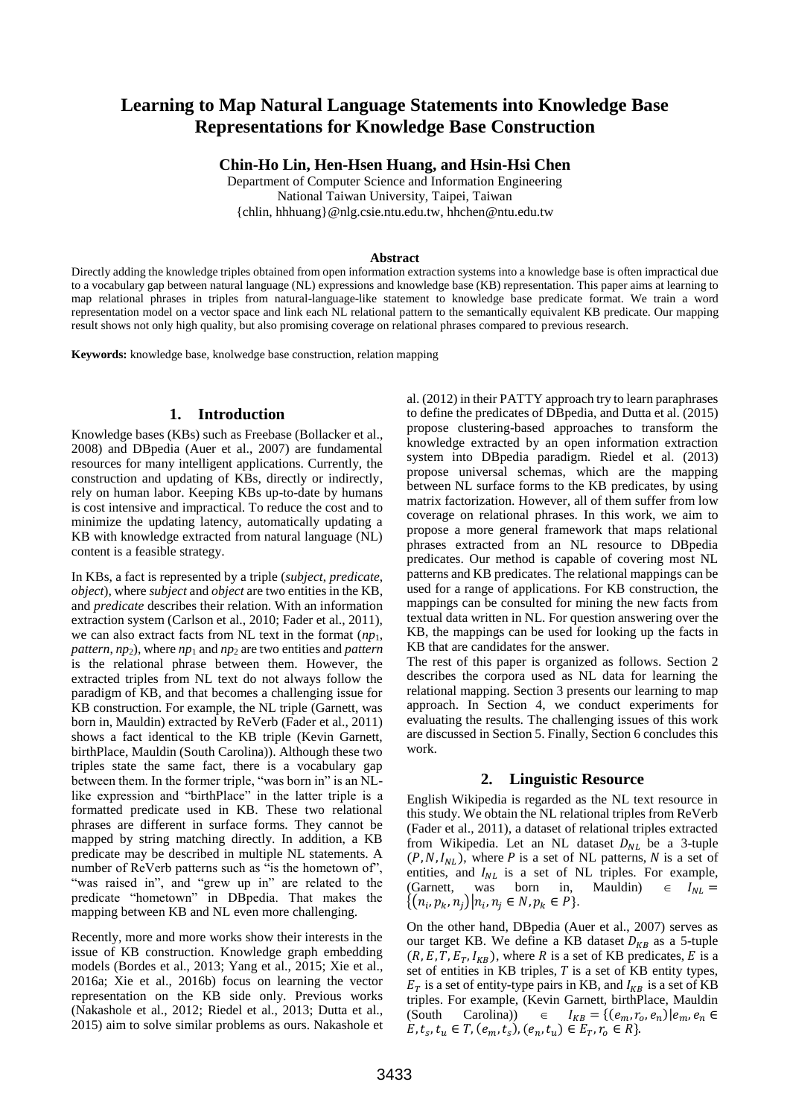# **Learning to Map Natural Language Statements into Knowledge Base Representations for Knowledge Base Construction**

**Chin-Ho Lin, Hen-Hsen Huang, and Hsin-Hsi Chen**

Department of Computer Science and Information Engineering National Taiwan University, Taipei, Taiwan {chlin, hhhuang}@nlg.csie.ntu.edu.tw, hhchen@ntu.edu.tw

#### **Abstract**

Directly adding the knowledge triples obtained from open information extraction systems into a knowledge base is often impractical due to a vocabulary gap between natural language (NL) expressions and knowledge base (KB) representation. This paper aims at learning to map relational phrases in triples from natural-language-like statement to knowledge base predicate format. We train a word representation model on a vector space and link each NL relational pattern to the semantically equivalent KB predicate. Our mapping result shows not only high quality, but also promising coverage on relational phrases compared to previous research.

**Keywords:** knowledge base, knolwedge base construction, relation mapping

### **1. Introduction**

Knowledge bases (KBs) such as Freebase (Bollacker et al., 2008) and DBpedia (Auer et al., 2007) are fundamental resources for many intelligent applications. Currently, the construction and updating of KBs, directly or indirectly, rely on human labor. Keeping KBs up-to-date by humans is cost intensive and impractical. To reduce the cost and to minimize the updating latency, automatically updating a KB with knowledge extracted from natural language (NL) content is a feasible strategy.

In KBs, a fact is represented by a triple (*subject*, *predicate*, *object*), where *subject* and *object* are two entities in the KB, and *predicate* describes their relation. With an information extraction system (Carlson et al., 2010; Fader et al., 2011), we can also extract facts from NL text in the format  $(np_1,$ *pattern*, *np*2), where *np*<sup>1</sup> and *np*<sup>2</sup> are two entities and *pattern* is the relational phrase between them. However, the extracted triples from NL text do not always follow the paradigm of KB, and that becomes a challenging issue for KB construction. For example, the NL triple (Garnett, was born in, Mauldin) extracted by ReVerb (Fader et al., 2011) shows a fact identical to the KB triple (Kevin Garnett, birthPlace, Mauldin (South Carolina)). Although these two triples state the same fact, there is a vocabulary gap between them. In the former triple, "was born in" is an NLlike expression and "birthPlace" in the latter triple is a formatted predicate used in KB. These two relational phrases are different in surface forms. They cannot be mapped by string matching directly. In addition, a KB predicate may be described in multiple NL statements. A number of ReVerb patterns such as "is the hometown of", "was raised in", and "grew up in" are related to the predicate "hometown" in DBpedia. That makes the mapping between KB and NL even more challenging.

Recently, more and more works show their interests in the issue of KB construction. Knowledge graph embedding models (Bordes et al., 2013; Yang et al., 2015; Xie et al., 2016a; Xie et al., 2016b) focus on learning the vector representation on the KB side only. Previous works (Nakashole et al., 2012; Riedel et al., 2013; Dutta et al., 2015) aim to solve similar problems as ours. Nakashole et al. (2012) in their PATTY approach try to learn paraphrases to define the predicates of DBpedia, and Dutta et al. (2015) propose clustering-based approaches to transform the knowledge extracted by an open information extraction system into DBpedia paradigm. Riedel et al. (2013) propose universal schemas, which are the mapping between NL surface forms to the KB predicates, by using matrix factorization. However, all of them suffer from low coverage on relational phrases. In this work, we aim to propose a more general framework that maps relational phrases extracted from an NL resource to DBpedia predicates. Our method is capable of covering most NL patterns and KB predicates. The relational mappings can be used for a range of applications. For KB construction, the mappings can be consulted for mining the new facts from textual data written in NL. For question answering over the KB, the mappings can be used for looking up the facts in KB that are candidates for the answer.

The rest of this paper is organized as follows. Section 2 describes the corpora used as NL data for learning the relational mapping. Section 3 presents our learning to map approach. In Section 4, we conduct experiments for evaluating the results. The challenging issues of this work are discussed in Section 5. Finally, Section 6 concludes this work.

### **2. Linguistic Resource**

English Wikipedia is regarded as the NL text resource in this study. We obtain the NL relational triples from ReVerb (Fader et al., 2011), a dataset of relational triples extracted from Wikipedia. Let an NL dataset  $D_{NL}$  be a 3-tuple  $(P, N, I_{NL})$ , where P is a set of NL patterns, N is a set of entities, and  $I_{NL}$  is a set of NL triples. For example, (Garnett, was born in, Mauldin)  $\in I_{NL}$  =  $\{(n_i, p_k, n_j) | n_i, n_j \in N, p_k \in P\}.$ 

On the other hand, DBpedia (Auer et al., 2007) serves as our target KB. We define a KB dataset  $D_{KB}$  as a 5-tuple  $(R, E, T, E_T, I_{KB})$ , where R is a set of KB predicates, E is a set of entities in KB triples,  $T$  is a set of KB entity types,  $E_T$  is a set of entity-type pairs in KB, and  $I_{KB}$  is a set of KB triples. For example, (Kevin Garnett, birthPlace, Mauldin (South Carolina))  $\in I_{KB} = \{ (e_m, r_o, e_n) | e_m, e_n \in$  $E, t_s, t_u \in T, (e_m, t_s), (e_n, t_u) \in E_T, r_o \in R$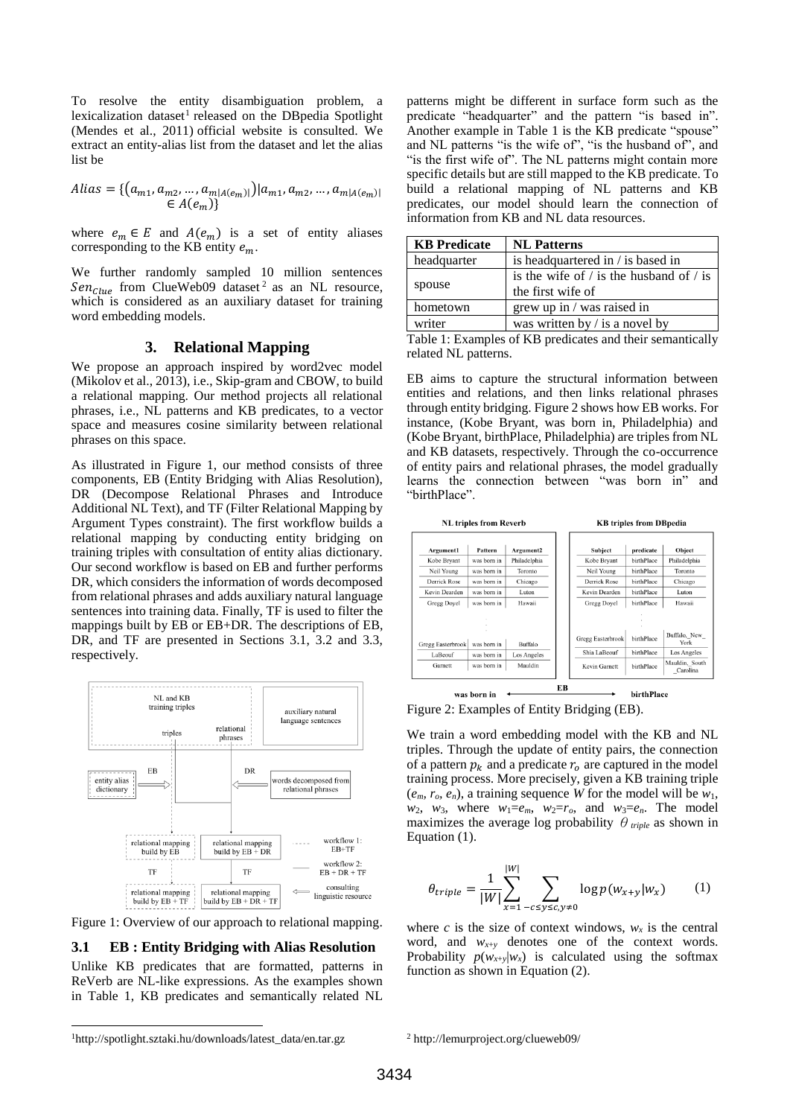To resolve the entity disambiguation problem, a lexicalization dataset<sup>1</sup> released on the DBpedia Spotlight (Mendes et al., 2011) official website is consulted. We extract an entity-alias list from the dataset and let the alias list be

$$
Alias = \{ (a_{m1}, a_{m2}, ..., a_{m|A(e_m)|}) | a_{m1}, a_{m2}, ..., a_{m|A(e_m)|} \in A(e_m) \}
$$

where  $e_m \in E$  and  $A(e_m)$  is a set of entity aliases corresponding to the KB entity  $e_m$ .

We further randomly sampled 10 million sentences  $Sen_{Clue}$  from ClueWeb09 dataset<sup>2</sup> as an NL resource, which is considered as an auxiliary dataset for training word embedding models.

### **3. Relational Mapping**

We propose an approach inspired by word2vec model (Mikolov et al., 2013), i.e., Skip-gram and CBOW, to build a relational mapping. Our method projects all relational phrases, i.e., NL patterns and KB predicates, to a vector space and measures cosine similarity between relational phrases on this space.

As illustrated in Figure 1, our method consists of three components, EB (Entity Bridging with Alias Resolution), DR (Decompose Relational Phrases and Introduce Additional NL Text), and TF (Filter Relational Mapping by Argument Types constraint). The first workflow builds a relational mapping by conducting entity bridging on training triples with consultation of entity alias dictionary. Our second workflow is based on EB and further performs DR, which considers the information of words decomposed from relational phrases and adds auxiliary natural language sentences into training data. Finally, TF is used to filter the mappings built by EB or EB+DR. The descriptions of EB, DR, and TF are presented in Sections 3.1, 3.2 and 3.3, respectively.



Figure 1: Overview of our approach to relational mapping.

#### **3.1 EB : Entity Bridging with Alias Resolution**

Unlike KB predicates that are formatted, patterns in ReVerb are NL-like expressions. As the examples shown in Table 1, KB predicates and semantically related NL patterns might be different in surface form such as the predicate "headquarter" and the pattern "is based in". Another example in Table 1 is the KB predicate "spouse" and NL patterns "is the wife of", "is the husband of", and "is the first wife of". The NL patterns might contain more specific details but are still mapped to the KB predicate. To build a relational mapping of NL patterns and KB predicates, our model should learn the connection of information from KB and NL data resources.

| <b>KB</b> Predicate | <b>NL Patterns</b>                                                     |  |
|---------------------|------------------------------------------------------------------------|--|
| headquarter         | is headquartered in / is based in                                      |  |
| spouse              | is the wife of $\ell$ is the husband of $\ell$ is<br>the first wife of |  |
| hometown            | grew up in / was raised in                                             |  |
| writer              | was written by $\ell$ is a novel by                                    |  |

Table 1: Examples of KB predicates and their semantically related NL patterns.

EB aims to capture the structural information between entities and relations, and then links relational phrases through entity bridging. Figure 2 shows how EB works. For instance, (Kobe Bryant, was born in, Philadelphia) and (Kobe Bryant, birthPlace, Philadelphia) are triples from NL and KB datasets, respectively. Through the co-occurrence of entity pairs and relational phrases, the model gradually learns the connection between "was born in" and "birthPlace".

| <b>NL triples from Reverb</b> |             | <b>KB</b> triples from DBpedia |                   |            |                            |
|-------------------------------|-------------|--------------------------------|-------------------|------------|----------------------------|
| Argument1                     | Pattern     | Argument2                      | <b>Subject</b>    | predicate  | Object                     |
| Kobe Bryant                   | was born in | Philadelphia                   | Kobe Bryant       | birthPlace | Philadelphia               |
| Neil Young                    | was born in | Toronto                        | Neil Young        | birthPlace | Toronto                    |
| Derrick Rose                  | was born in | Chicago                        | Derrick Rose      | birthPlace | Chicago                    |
| Kevin Dearden                 | was born in | Luton                          | Kevin Dearden     | birthPlace | Luton                      |
| Gregg Doyel                   | was born in | Hawaii                         | Gregg Doyel       | birthPlace | Hawaii                     |
|                               |             |                                |                   |            |                            |
| Gregg Easterbrook             | was born in | Buffalo                        | Gregg Easterbrook | birthPlace | Buffalo, New<br>York       |
| LaBeouf                       | was born in | Los Angeles                    | Shia LaBeouf      | birthPlace | Los Angeles                |
| Garnett                       | was born in | Mauldin                        | Kevin Garnett     | birthPlace | Mauldin, South<br>Carolina |

Figure 2: Examples of Entity Bridging (EB).

We train a word embedding model with the KB and NL triples. Through the update of entity pairs, the connection of a pattern  $p_k$  and a predicate  $r_0$  are captured in the model training process. More precisely, given a KB training triple  $(e_m, r_o, e_n)$ , a training sequence *W* for the model will be *w*<sub>1</sub>,  $w_2$ ,  $w_3$ , where  $w_1 = e_m$ ,  $w_2 = r_o$ , and  $w_3 = e_n$ . The model maximizes the average log probability θ*triple* as shown in Equation (1).

$$
\theta_{triple} = \frac{1}{|W|} \sum_{x=1}^{|W|} \sum_{-c \le y \le c, y \ne 0} \log p(w_{x+y}|w_x)
$$
 (1)

where *c* is the size of context windows,  $w_x$  is the central word, and  $w_{x+y}$  denotes one of the context words. Probability  $p(w_{x+y}|w_x)$  is calculated using the softmax function as shown in Equation (2).

l

<sup>1</sup>http://spotlight.sztaki.hu/downloads/latest\_data/en.tar.gz

<sup>2</sup> http://lemurproject.org/clueweb09/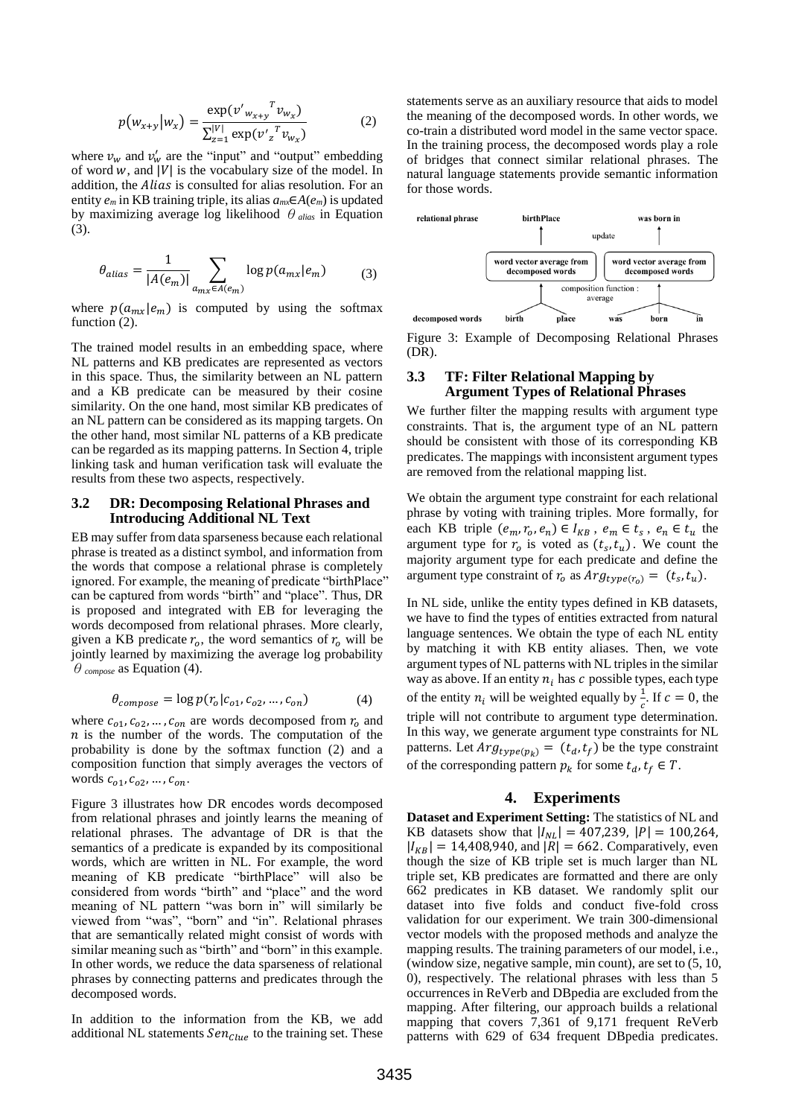$$
p(w_{x+y}|w_x) = \frac{\exp(v'_{w_{x+y}}^T v_{w_x})}{\sum_{z=1}^{|V|} \exp(v'_{z}^T v_{w_x})}
$$
(2)

where  $v_w$  and  $v'_w$  are the "input" and "output" embedding of word  $w$ , and |V| is the vocabulary size of the model. In addition, the *Alias* is consulted for alias resolution. For an entity  $e_m$  in KB training triple, its alias  $a_{mx} \in A(e_m)$  is updated by maximizing average log likelihood θ*alias* in Equation (3).

$$
\theta_{alias} = \frac{1}{|A(e_m)|} \sum_{a_{mx} \in A(e_m)} \log p(a_{mx}|e_m) \tag{3}
$$

where  $p(a_{mx}|e_m)$  is computed by using the softmax function  $(2)$ .

The trained model results in an embedding space, where NL patterns and KB predicates are represented as vectors in this space. Thus, the similarity between an NL pattern and a KB predicate can be measured by their cosine similarity. On the one hand, most similar KB predicates of an NL pattern can be considered as its mapping targets. On the other hand, most similar NL patterns of a KB predicate can be regarded as its mapping patterns. In Section 4, triple linking task and human verification task will evaluate the results from these two aspects, respectively.

### **3.2 DR: Decomposing Relational Phrases and Introducing Additional NL Text**

EB may suffer from data sparseness because each relational phrase is treated as a distinct symbol, and information from the words that compose a relational phrase is completely ignored. For example, the meaning of predicate "birthPlace" can be captured from words "birth" and "place". Thus, DR is proposed and integrated with EB for leveraging the words decomposed from relational phrases. More clearly, given a KB predicate  $r_0$ , the word semantics of  $r_0$  will be jointly learned by maximizing the average log probability  $\theta$ <sub>compose</sub> as Equation (4).

$$
\theta_{\text{composite}} = \log p(r_o | c_{o1}, c_{o2}, \dots, c_{on}) \tag{4}
$$

where  $c_{01}, c_{02}, \ldots, c_{on}$  are words decomposed from  $r_0$  and  $n$  is the number of the words. The computation of the probability is done by the softmax function (2) and a composition function that simply averages the vectors of words  $c_{o1}, c_{o2}, ..., c_{on}$ .

Figure 3 illustrates how DR encodes words decomposed from relational phrases and jointly learns the meaning of relational phrases. The advantage of DR is that the semantics of a predicate is expanded by its compositional words, which are written in NL. For example, the word meaning of KB predicate "birthPlace" will also be considered from words "birth" and "place" and the word meaning of NL pattern "was born in" will similarly be viewed from "was", "born" and "in". Relational phrases that are semantically related might consist of words with similar meaning such as "birth" and "born" in this example. In other words, we reduce the data sparseness of relational phrases by connecting patterns and predicates through the decomposed words.

In addition to the information from the KB, we add additional NL statements  $\textit{Sen}_{\textit{Clue}}$  to the training set. These

statements serve as an auxiliary resource that aids to model the meaning of the decomposed words. In other words, we co-train a distributed word model in the same vector space. In the training process, the decomposed words play a role of bridges that connect similar relational phrases. The natural language statements provide semantic information for those words.



Figure 3: Example of Decomposing Relational Phrases (DR).

#### **3.3 TF: Filter Relational Mapping by Argument Types of Relational Phrases**

We further filter the mapping results with argument type constraints. That is, the argument type of an NL pattern should be consistent with those of its corresponding KB predicates. The mappings with inconsistent argument types are removed from the relational mapping list.

We obtain the argument type constraint for each relational phrase by voting with training triples. More formally, for each KB triple  $(e_m, r_o, e_n) \in I_{KB}$ ,  $e_m \in t_s$ ,  $e_n \in t_u$  the argument type for  $r_0$  is voted as  $(t_s, t_u)$ . We count the majority argument type for each predicate and define the argument type constraint of  $r_o$  as  $Arg_{type(r_o)} = (t_s, t_u)$ .

In NL side, unlike the entity types defined in KB datasets, we have to find the types of entities extracted from natural language sentences. We obtain the type of each NL entity by matching it with KB entity aliases. Then, we vote argument types of NL patterns with NL triples in the similar way as above. If an entity  $n_i$  has  $c$  possible types, each type of the entity  $n_i$  will be weighted equally by  $\frac{1}{c}$ . If  $c = 0$ , the triple will not contribute to argument type determination. In this way, we generate argument type constraints for NL patterns. Let  $Arg_{type(p_k)} = (t_d, t_f)$  be the type constraint of the corresponding pattern  $p_k$  for some  $t_d, t_f \in T$ .

### **4. Experiments**

**Dataset and Experiment Setting:** The statistics of NL and KB datasets show that  $|I_{NL}| = 407,239, |P| = 100,264,$  $|I_{KB}| = 14,408,940$ , and  $|R| = 662$ . Comparatively, even though the size of KB triple set is much larger than NL triple set, KB predicates are formatted and there are only 662 predicates in KB dataset. We randomly split our dataset into five folds and conduct five-fold cross validation for our experiment. We train 300-dimensional vector models with the proposed methods and analyze the mapping results. The training parameters of our model, i.e., (window size, negative sample, min count), are set to (5, 10, 0), respectively. The relational phrases with less than 5 occurrences in ReVerb and DBpedia are excluded from the mapping. After filtering, our approach builds a relational mapping that covers 7,361 of 9,171 frequent ReVerb patterns with 629 of 634 frequent DBpedia predicates.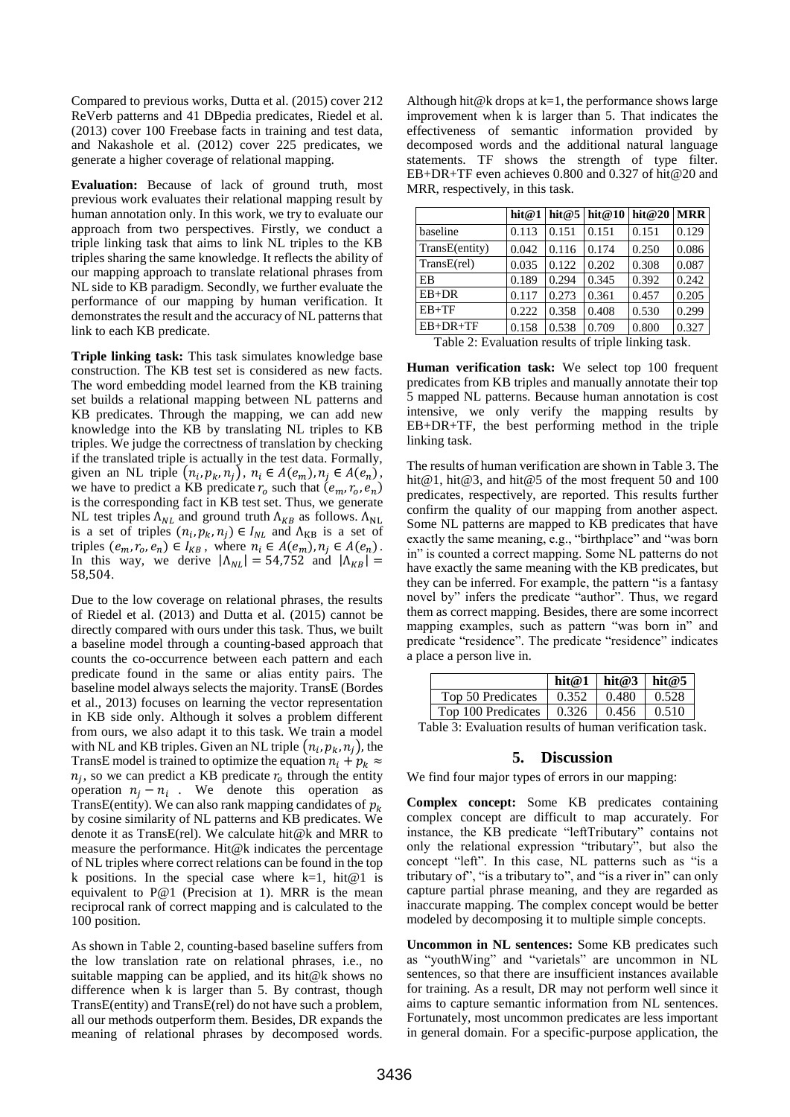Compared to previous works, Dutta et al. (2015) cover 212 ReVerb patterns and 41 DBpedia predicates, Riedel et al. (2013) cover 100 Freebase facts in training and test data, and Nakashole et al. (2012) cover 225 predicates, we generate a higher coverage of relational mapping.

**Evaluation:** Because of lack of ground truth, most previous work evaluates their relational mapping result by human annotation only. In this work, we try to evaluate our approach from two perspectives. Firstly, we conduct a triple linking task that aims to link NL triples to the KB triples sharing the same knowledge. It reflects the ability of our mapping approach to translate relational phrases from NL side to KB paradigm. Secondly, we further evaluate the performance of our mapping by human verification. It demonstrates the result and the accuracy of NL patterns that link to each KB predicate.

**Triple linking task:** This task simulates knowledge base construction. The KB test set is considered as new facts. The word embedding model learned from the KB training set builds a relational mapping between NL patterns and KB predicates. Through the mapping, we can add new knowledge into the KB by translating NL triples to KB triples. We judge the correctness of translation by checking if the translated triple is actually in the test data. Formally, given an NL triple  $(n_i, p_k, n_j)$ ,  $n_i \in A(e_m)$ ,  $n_j \in A(e_n)$ , we have to predict a KB predicate  $r_o$  such that  $(e_m, r_o, e_n)$ is the corresponding fact in KB test set. Thus, we generate NL test triples  $\Lambda_{NL}$  and ground truth  $\Lambda_{KB}$  as follows.  $\Lambda_{NL}$ is a set of triples  $(n_i, p_k, n_j) \in I_{NL}$  and  $\Lambda_{KB}$  is a set of triples  $(e_m, r_o, e_n) \in I_{KB}$ , where  $n_i \in A(e_m), n_j \in A(e_n)$ . In this way, we derive  $|\Lambda_{NL}| = 54,752$  and  $|\Lambda_{KB}| =$ 58,504.

Due to the low coverage on relational phrases, the results of Riedel et al. (2013) and Dutta et al. (2015) cannot be directly compared with ours under this task. Thus, we built a baseline model through a counting-based approach that counts the co-occurrence between each pattern and each predicate found in the same or alias entity pairs. The baseline model always selects the majority. TransE (Bordes et al., 2013) focuses on learning the vector representation in KB side only. Although it solves a problem different from ours, we also adapt it to this task. We train a model with NL and KB triples. Given an NL triple  $(n_i, p_k, n_j)$ , the TransE model is trained to optimize the equation  $n_i + p_k \approx$  $n_j$ , so we can predict a KB predicate  $r_o$  through the entity operation  $n_j - n_i$ . We denote this operation as TransE(entity). We can also rank mapping candidates of  $p_k$ by cosine similarity of NL patterns and KB predicates. We denote it as TransE(rel). We calculate hit@k and MRR to measure the performance. Hit@k indicates the percentage of NL triples where correct relations can be found in the top k positions. In the special case where  $k=1$ , hit $@1$  is equivalent to P@1 (Precision at 1). MRR is the mean reciprocal rank of correct mapping and is calculated to the 100 position.

As shown in Table 2, counting-based baseline suffers from the low translation rate on relational phrases, i.e., no suitable mapping can be applied, and its hit@k shows no difference when k is larger than 5. By contrast, though TransE(entity) and TransE(rel) do not have such a problem, all our methods outperform them. Besides, DR expands the meaning of relational phrases by decomposed words.

Although hit@k drops at  $k=1$ , the performance shows large improvement when k is larger than 5. That indicates the effectiveness of semantic information provided by decomposed words and the additional natural language statements. TF shows the strength of type filter. EB+DR+TF even achieves 0.800 and 0.327 of hit@20 and MRR, respectively, in this task.

|                |       |       | hit@1   hit@5   hit@10   hit@20 |       | <b>MRR</b> |
|----------------|-------|-------|---------------------------------|-------|------------|
| baseline       | 0.113 | 0.151 | 0.151                           | 0.151 | 0.129      |
| TransE(entity) | 0.042 | 0.116 | 0.174                           | 0.250 | 0.086      |
| $TransE$ (rel) | 0.035 | 0.122 | 0.202                           | 0.308 | 0.087      |
| EB             | 0.189 | 0.294 | 0.345                           | 0.392 | 0.242      |
| $EB+DR$        | 0.117 | 0.273 | 0.361                           | 0.457 | 0.205      |
| $EB+TF$        | 0.222 | 0.358 | 0.408                           | 0.530 | 0.299      |
| $EB+DR+TF$     | 0.158 | 0.538 | 0.709                           | 0.800 | 0.327      |

Table 2: Evaluation results of triple linking task.

**Human verification task:** We select top 100 frequent predicates from KB triples and manually annotate their top 5 mapped NL patterns. Because human annotation is cost intensive, we only verify the mapping results by EB+DR+TF, the best performing method in the triple linking task.

The results of human verification are shown in Table 3. The hit@1, hit@3, and hit@5 of the most frequent 50 and 100 predicates, respectively, are reported. This results further confirm the quality of our mapping from another aspect. Some NL patterns are mapped to KB predicates that have exactly the same meaning, e.g., "birthplace" and "was born in" is counted a correct mapping. Some NL patterns do not have exactly the same meaning with the KB predicates, but they can be inferred. For example, the pattern "is a fantasy novel by" infers the predicate "author". Thus, we regard them as correct mapping. Besides, there are some incorrect mapping examples, such as pattern "was born in" and predicate "residence". The predicate "residence" indicates a place a person live in.

|                                                         |                                        |       | hit@1   hit@3   hit@5 |       |  |  |
|---------------------------------------------------------|----------------------------------------|-------|-----------------------|-------|--|--|
|                                                         | Top 50 Predicates                      | 0.352 | 0.480                 | 0.528 |  |  |
|                                                         | Top 100 Predicates $\vert 0.326 \vert$ |       | 0.456                 | 0.510 |  |  |
| Table 3: Evaluation results of human verification task. |                                        |       |                       |       |  |  |

# **5. Discussion**

We find four major types of errors in our mapping:

**Complex concept:** Some KB predicates containing complex concept are difficult to map accurately. For instance, the KB predicate "leftTributary" contains not only the relational expression "tributary", but also the concept "left". In this case, NL patterns such as "is a tributary of", "is a tributary to", and "is a river in" can only capture partial phrase meaning, and they are regarded as inaccurate mapping. The complex concept would be better modeled by decomposing it to multiple simple concepts.

**Uncommon in NL sentences:** Some KB predicates such as "youthWing" and "varietals" are uncommon in NL sentences, so that there are insufficient instances available for training. As a result, DR may not perform well since it aims to capture semantic information from NL sentences. Fortunately, most uncommon predicates are less important in general domain. For a specific-purpose application, the